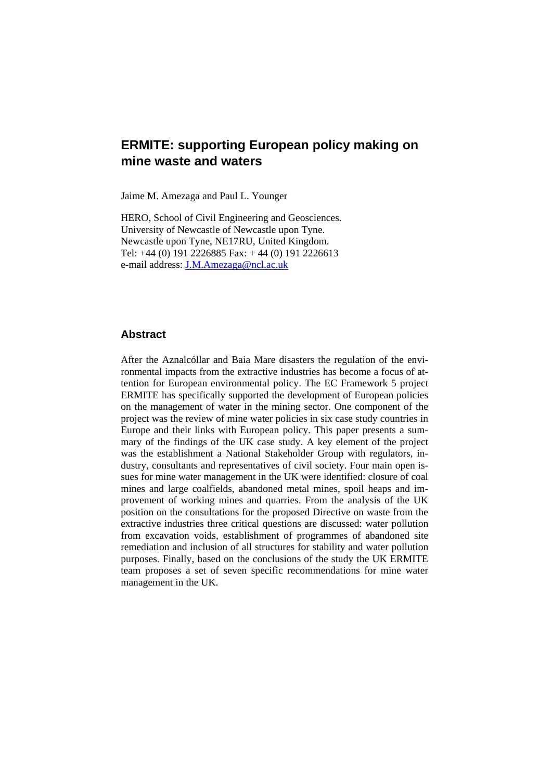# **ERMITE: supporting European policy making on mine waste and waters**

Jaime M. Amezaga and Paul L. Younger

HERO, School of Civil Engineering and Geosciences. University of Newcastle of Newcastle upon Tyne. Newcastle upon Tyne, NE17RU, United Kingdom. Tel: +44 (0) 191 2226885 Fax: + 44 (0) 191 2226613 e-mail address: J.M.Amezaga@ncl.ac.uk

### **Abstract**

After the Aznalcóllar and Baia Mare disasters the regulation of the environmental impacts from the extractive industries has become a focus of attention for European environmental policy. The EC Framework 5 project ERMITE has specifically supported the development of European policies on the management of water in the mining sector. One component of the project was the review of mine water policies in six case study countries in Europe and their links with European policy. This paper presents a summary of the findings of the UK case study. A key element of the project was the establishment a National Stakeholder Group with regulators, industry, consultants and representatives of civil society. Four main open issues for mine water management in the UK were identified: closure of coal mines and large coalfields, abandoned metal mines, spoil heaps and improvement of working mines and quarries. From the analysis of the UK position on the consultations for the proposed Directive on waste from the extractive industries three critical questions are discussed: water pollution from excavation voids, establishment of programmes of abandoned site remediation and inclusion of all structures for stability and water pollution purposes. Finally, based on the conclusions of the study the UK ERMITE team proposes a set of seven specific recommendations for mine water management in the UK.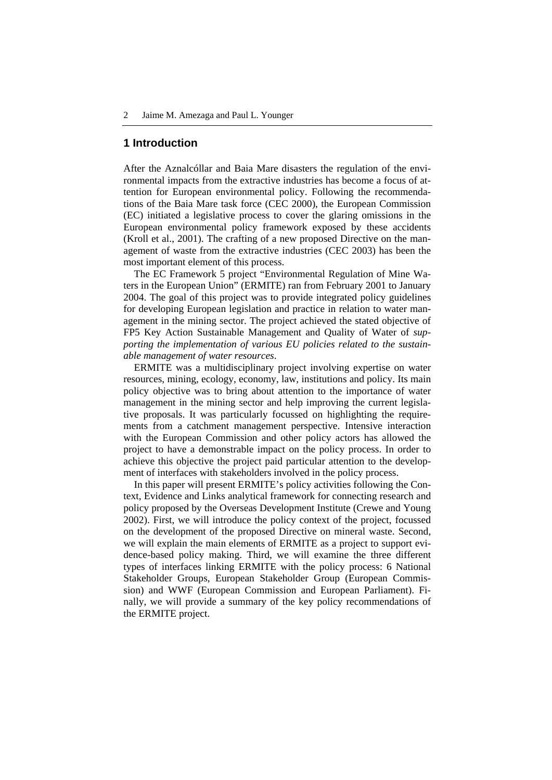### **1 Introduction**

After the Aznalcóllar and Baia Mare disasters the regulation of the environmental impacts from the extractive industries has become a focus of attention for European environmental policy. Following the recommendations of the Baia Mare task force (CEC 2000), the European Commission (EC) initiated a legislative process to cover the glaring omissions in the European environmental policy framework exposed by these accidents (Kroll et al., 2001). The crafting of a new proposed Directive on the management of waste from the extractive industries (CEC 2003) has been the most important element of this process.

The EC Framework 5 project "Environmental Regulation of Mine Waters in the European Union" (ERMITE) ran from February 2001 to January 2004. The goal of this project was to provide integrated policy guidelines for developing European legislation and practice in relation to water management in the mining sector. The project achieved the stated objective of FP5 Key Action Sustainable Management and Quality of Water of *supporting the implementation of various EU policies related to the sustainable management of water resources*.

ERMITE was a multidisciplinary project involving expertise on water resources, mining, ecology, economy, law, institutions and policy. Its main policy objective was to bring about attention to the importance of water management in the mining sector and help improving the current legislative proposals. It was particularly focussed on highlighting the requirements from a catchment management perspective. Intensive interaction with the European Commission and other policy actors has allowed the project to have a demonstrable impact on the policy process. In order to achieve this objective the project paid particular attention to the development of interfaces with stakeholders involved in the policy process.

In this paper will present ERMITE's policy activities following the Context, Evidence and Links analytical framework for connecting research and policy proposed by the Overseas Development Institute (Crewe and Young 2002). First, we will introduce the policy context of the project, focussed on the development of the proposed Directive on mineral waste. Second, we will explain the main elements of ERMITE as a project to support evidence-based policy making. Third, we will examine the three different types of interfaces linking ERMITE with the policy process: 6 National Stakeholder Groups, European Stakeholder Group (European Commission) and WWF (European Commission and European Parliament). Finally, we will provide a summary of the key policy recommendations of the ERMITE project.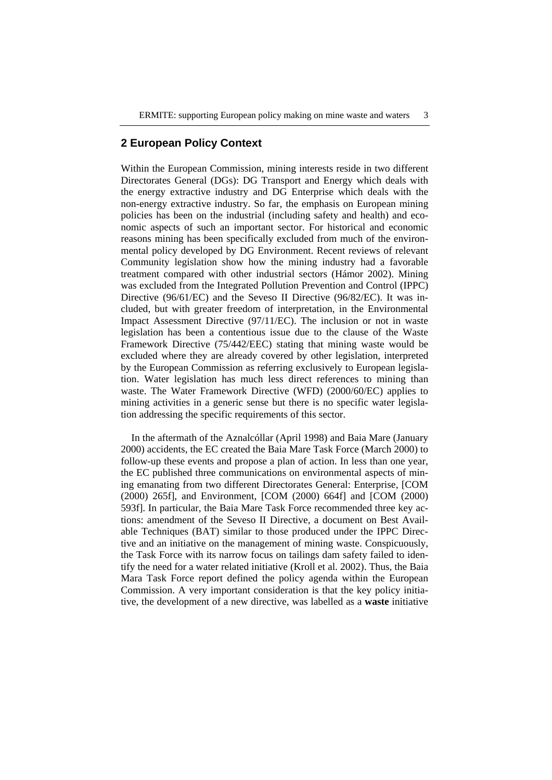# **2 European Policy Context**

Within the European Commission, mining interests reside in two different Directorates General (DGs): DG Transport and Energy which deals with the energy extractive industry and DG Enterprise which deals with the non-energy extractive industry. So far, the emphasis on European mining policies has been on the industrial (including safety and health) and economic aspects of such an important sector. For historical and economic reasons mining has been specifically excluded from much of the environmental policy developed by DG Environment. Recent reviews of relevant Community legislation show how the mining industry had a favorable treatment compared with other industrial sectors (Hámor 2002). Mining was excluded from the Integrated Pollution Prevention and Control (IPPC) Directive (96/61/EC) and the Seveso II Directive (96/82/EC). It was included, but with greater freedom of interpretation, in the Environmental Impact Assessment Directive (97/11/EC). The inclusion or not in waste legislation has been a contentious issue due to the clause of the Waste Framework Directive (75/442/EEC) stating that mining waste would be excluded where they are already covered by other legislation, interpreted by the European Commission as referring exclusively to European legislation. Water legislation has much less direct references to mining than waste. The Water Framework Directive (WFD) (2000/60/EC) applies to mining activities in a generic sense but there is no specific water legislation addressing the specific requirements of this sector.

In the aftermath of the Aznalcóllar (April 1998) and Baia Mare (January 2000) accidents, the EC created the Baia Mare Task Force (March 2000) to follow-up these events and propose a plan of action. In less than one year, the EC published three communications on environmental aspects of mining emanating from two different Directorates General: Enterprise, [COM (2000) 265f], and Environment, [COM (2000) 664f] and [COM (2000) 593f]. In particular, the Baia Mare Task Force recommended three key actions: amendment of the Seveso II Directive, a document on Best Available Techniques (BAT) similar to those produced under the IPPC Directive and an initiative on the management of mining waste. Conspicuously, the Task Force with its narrow focus on tailings dam safety failed to identify the need for a water related initiative (Kroll et al. 2002). Thus, the Baia Mara Task Force report defined the policy agenda within the European Commission. A very important consideration is that the key policy initiative, the development of a new directive, was labelled as a **waste** initiative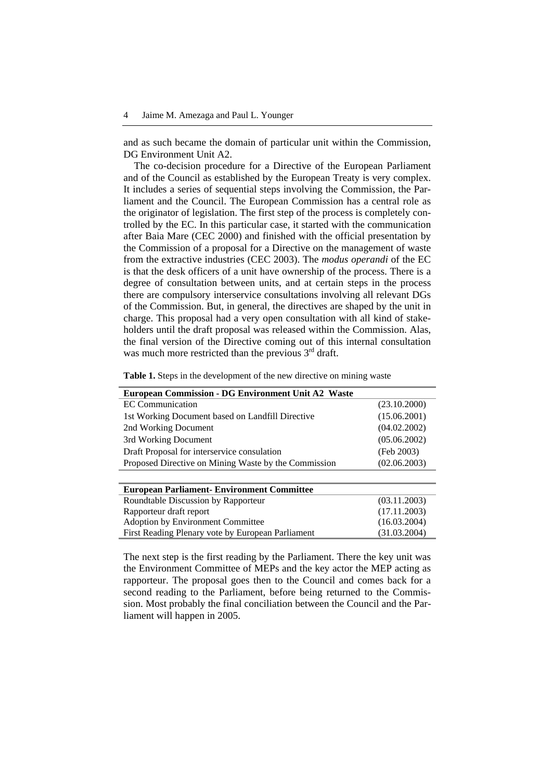and as such became the domain of particular unit within the Commission, DG Environment Unit A2.

The co-decision procedure for a Directive of the European Parliament and of the Council as established by the European Treaty is very complex. It includes a series of sequential steps involving the Commission, the Parliament and the Council. The European Commission has a central role as the originator of legislation. The first step of the process is completely controlled by the EC. In this particular case, it started with the communication after Baia Mare (CEC 2000) and finished with the official presentation by the Commission of a proposal for a Directive on the management of waste from the extractive industries (CEC 2003). The *modus operandi* of the EC is that the desk officers of a unit have ownership of the process. There is a degree of consultation between units, and at certain steps in the process there are compulsory interservice consultations involving all relevant DGs of the Commission. But, in general, the directives are shaped by the unit in charge. This proposal had a very open consultation with all kind of stakeholders until the draft proposal was released within the Commission. Alas, the final version of the Directive coming out of this internal consultation was much more restricted than the previous  $3<sup>rd</sup>$  draft.

| <b>European Commission - DG Environment Unit A2 Waste</b> |              |
|-----------------------------------------------------------|--------------|
| EC Communication                                          | (23.10.2000) |
| 1st Working Document based on Landfill Directive          | (15.06.2001) |
| 2nd Working Document                                      | (04.02.2002) |
| 3rd Working Document                                      | (05.06.2002) |
| Draft Proposal for interservice consulation               | (Feb 2003)   |
| Proposed Directive on Mining Waste by the Commission      | (02.06.2003) |
|                                                           |              |
| <b>European Parliament- Environment Committee</b>         |              |
| Roundtable Discussion by Rapporteur                       | (03.11.2003) |
| Rapporteur draft report                                   | (17.11.2003) |
| Adoption by Environment Committee                         | (16.03.2004) |
| First Reading Plenary vote by European Parliament         | (31.03.2004) |

**Table 1.** Steps in the development of the new directive on mining waste

The next step is the first reading by the Parliament. There the key unit was the Environment Committee of MEPs and the key actor the MEP acting as rapporteur. The proposal goes then to the Council and comes back for a second reading to the Parliament, before being returned to the Commission. Most probably the final conciliation between the Council and the Parliament will happen in 2005.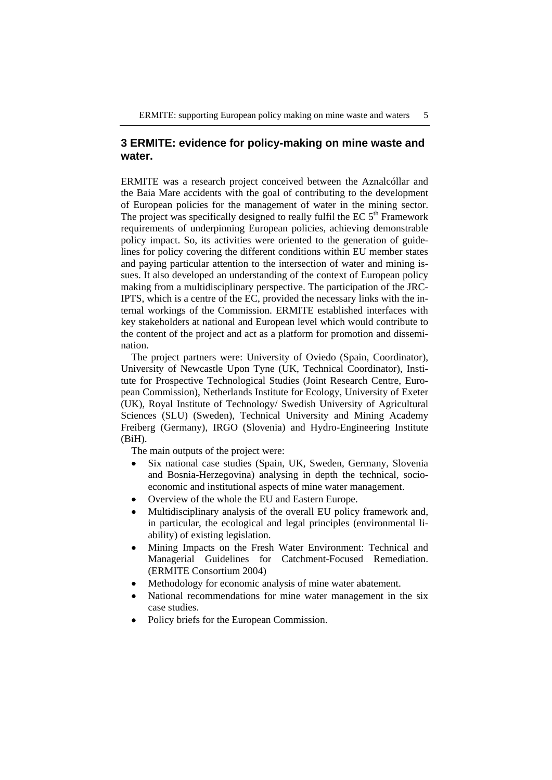# **3 ERMITE: evidence for policy-making on mine waste and water.**

ERMITE was a research project conceived between the Aznalcóllar and the Baia Mare accidents with the goal of contributing to the development of European policies for the management of water in the mining sector. The project was specifically designed to really fulfil the EC  $5<sup>th</sup>$  Framework requirements of underpinning European policies, achieving demonstrable policy impact. So, its activities were oriented to the generation of guidelines for policy covering the different conditions within EU member states and paying particular attention to the intersection of water and mining issues. It also developed an understanding of the context of European policy making from a multidisciplinary perspective. The participation of the JRC-IPTS, which is a centre of the EC, provided the necessary links with the internal workings of the Commission. ERMITE established interfaces with key stakeholders at national and European level which would contribute to the content of the project and act as a platform for promotion and dissemination.

The project partners were: University of Oviedo (Spain, Coordinator), University of Newcastle Upon Tyne (UK, Technical Coordinator), Institute for Prospective Technological Studies (Joint Research Centre, European Commission), Netherlands Institute for Ecology, University of Exeter (UK), Royal Institute of Technology/ Swedish University of Agricultural Sciences (SLU) (Sweden), Technical University and Mining Academy Freiberg (Germany), IRGO (Slovenia) and Hydro-Engineering Institute (BiH).

The main outputs of the project were:

- Six national case studies (Spain, UK, Sweden, Germany, Slovenia and Bosnia-Herzegovina) analysing in depth the technical, socioeconomic and institutional aspects of mine water management.
- Overview of the whole the EU and Eastern Europe.
- Multidisciplinary analysis of the overall EU policy framework and, in particular, the ecological and legal principles (environmental liability) of existing legislation.
- Mining Impacts on the Fresh Water Environment: Technical and Managerial Guidelines for Catchment-Focused Remediation. (ERMITE Consortium 2004)
- Methodology for economic analysis of mine water abatement.
- National recommendations for mine water management in the six case studies.
- Policy briefs for the European Commission.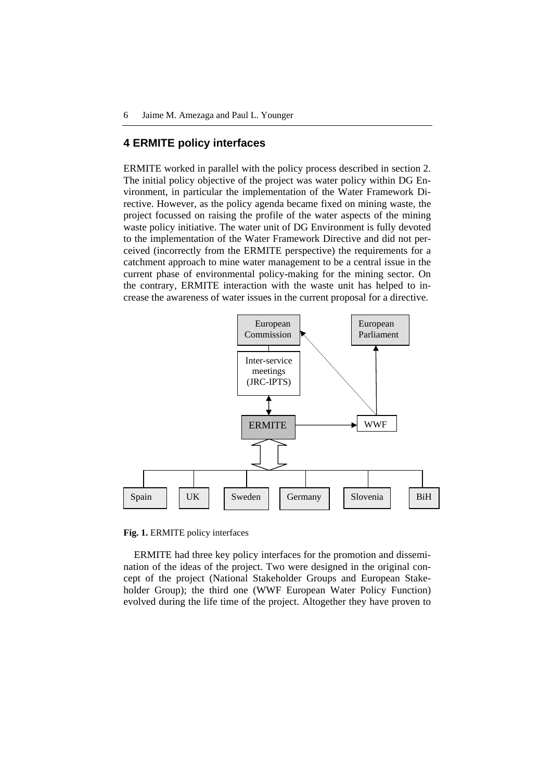# **4 ERMITE policy interfaces**

ERMITE worked in parallel with the policy process described in section 2. The initial policy objective of the project was water policy within DG Environment, in particular the implementation of the Water Framework Directive. However, as the policy agenda became fixed on mining waste, the project focussed on raising the profile of the water aspects of the mining waste policy initiative. The water unit of DG Environment is fully devoted to the implementation of the Water Framework Directive and did not perceived (incorrectly from the ERMITE perspective) the requirements for a catchment approach to mine water management to be a central issue in the current phase of environmental policy-making for the mining sector. On the contrary, ERMITE interaction with the waste unit has helped to increase the awareness of water issues in the current proposal for a directive.



**Fig. 1.** ERMITE policy interfaces

ERMITE had three key policy interfaces for the promotion and dissemination of the ideas of the project. Two were designed in the original concept of the project (National Stakeholder Groups and European Stakeholder Group); the third one (WWF European Water Policy Function) evolved during the life time of the project. Altogether they have proven to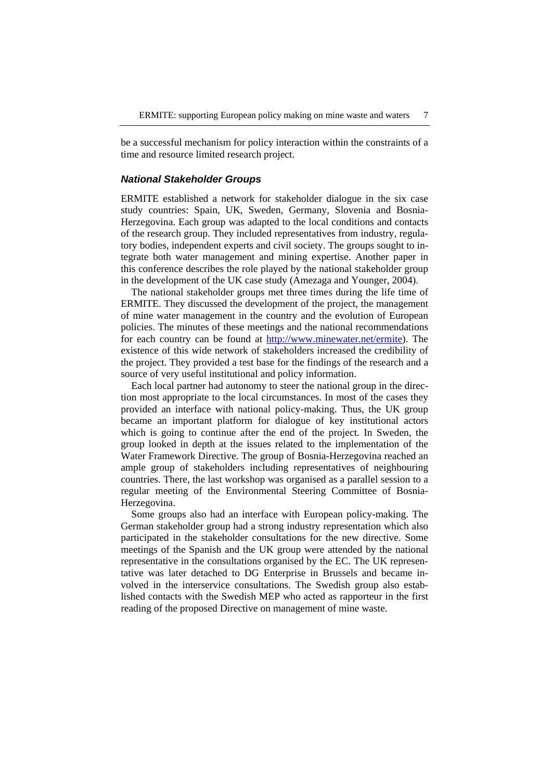be a successful mechanism for policy interaction within the constraints of a time and resource limited research project.

#### *National Stakeholder Groups*

ERMITE established a network for stakeholder dialogue in the six case study countries: Spain, UK, Sweden, Germany, Slovenia and Bosnia-Herzegovina. Each group was adapted to the local conditions and contacts of the research group. They included representatives from industry, regulatory bodies, independent experts and civil society. The groups sought to integrate both water management and mining expertise. Another paper in this conference describes the role played by the national stakeholder group in the development of the UK case study (Amezaga and Younger, 2004).

The national stakeholder groups met three times during the life time of ERMITE. They discussed the development of the project, the management of mine water management in the country and the evolution of European policies. The minutes of these meetings and the national recommendations for each country can be found at http://www.minewater.net/ermite). The existence of this wide network of stakeholders increased the credibility of the project. They provided a test base for the findings of the research and a source of very useful institutional and policy information.

Each local partner had autonomy to steer the national group in the direction most appropriate to the local circumstances. In most of the cases they provided an interface with national policy-making. Thus, the UK group became an important platform for dialogue of key institutional actors which is going to continue after the end of the project. In Sweden, the group looked in depth at the issues related to the implementation of the Water Framework Directive. The group of Bosnia-Herzegovina reached an ample group of stakeholders including representatives of neighbouring countries. There, the last workshop was organised as a parallel session to a regular meeting of the Environmental Steering Committee of Bosnia-Herzegovina.

Some groups also had an interface with European policy-making. The German stakeholder group had a strong industry representation which also participated in the stakeholder consultations for the new directive. Some meetings of the Spanish and the UK group were attended by the national representative in the consultations organised by the EC. The UK representative was later detached to DG Enterprise in Brussels and became involved in the interservice consultations. The Swedish group also established contacts with the Swedish MEP who acted as rapporteur in the first reading of the proposed Directive on management of mine waste.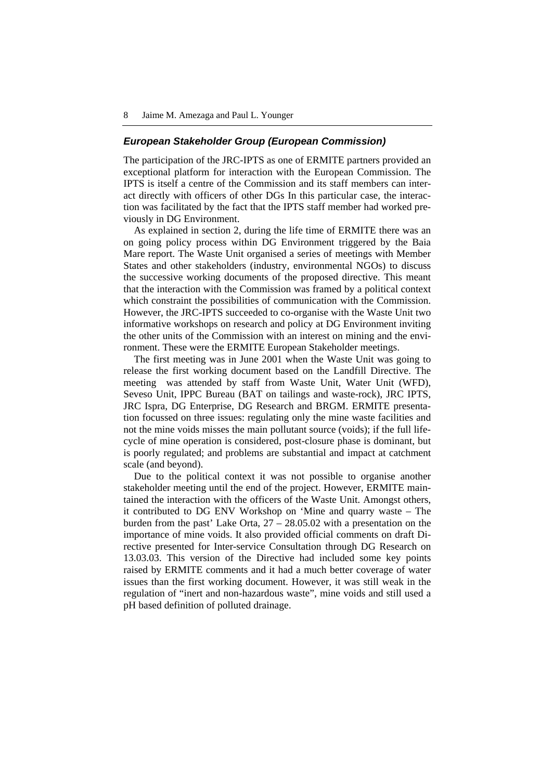#### *European Stakeholder Group (European Commission)*

The participation of the JRC-IPTS as one of ERMITE partners provided an exceptional platform for interaction with the European Commission. The IPTS is itself a centre of the Commission and its staff members can interact directly with officers of other DGs In this particular case, the interaction was facilitated by the fact that the IPTS staff member had worked previously in DG Environment.

As explained in section 2, during the life time of ERMITE there was an on going policy process within DG Environment triggered by the Baia Mare report. The Waste Unit organised a series of meetings with Member States and other stakeholders (industry, environmental NGOs) to discuss the successive working documents of the proposed directive. This meant that the interaction with the Commission was framed by a political context which constraint the possibilities of communication with the Commission. However, the JRC-IPTS succeeded to co-organise with the Waste Unit two informative workshops on research and policy at DG Environment inviting the other units of the Commission with an interest on mining and the environment. These were the ERMITE European Stakeholder meetings.

The first meeting was in June 2001 when the Waste Unit was going to release the first working document based on the Landfill Directive. The meeting was attended by staff from Waste Unit, Water Unit (WFD), Seveso Unit, IPPC Bureau (BAT on tailings and waste-rock), JRC IPTS, JRC Ispra, DG Enterprise, DG Research and BRGM. ERMITE presentation focussed on three issues: regulating only the mine waste facilities and not the mine voids misses the main pollutant source (voids); if the full lifecycle of mine operation is considered, post-closure phase is dominant, but is poorly regulated; and problems are substantial and impact at catchment scale (and beyond).

Due to the political context it was not possible to organise another stakeholder meeting until the end of the project. However, ERMITE maintained the interaction with the officers of the Waste Unit. Amongst others, it contributed to DG ENV Workshop on 'Mine and quarry waste – The burden from the past' Lake Orta, 27 – 28.05.02 with a presentation on the importance of mine voids. It also provided official comments on draft Directive presented for Inter-service Consultation through DG Research on 13.03.03. This version of the Directive had included some key points raised by ERMITE comments and it had a much better coverage of water issues than the first working document. However, it was still weak in the regulation of "inert and non-hazardous waste", mine voids and still used a pH based definition of polluted drainage.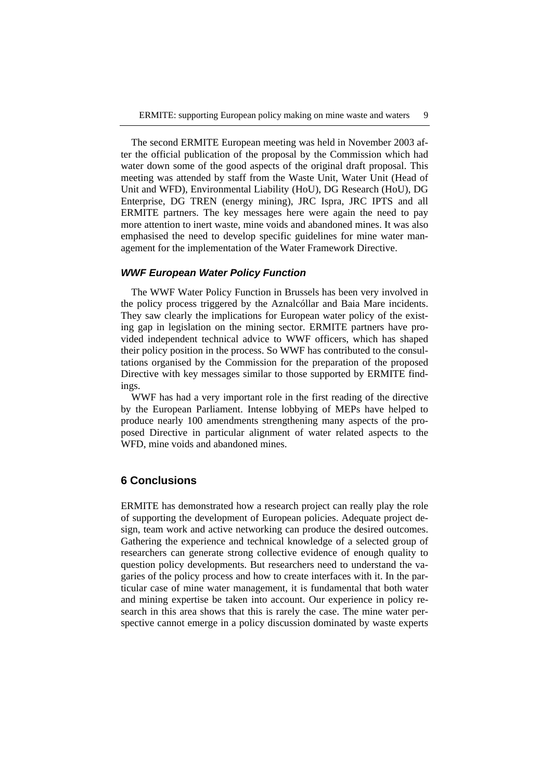The second ERMITE European meeting was held in November 2003 after the official publication of the proposal by the Commission which had water down some of the good aspects of the original draft proposal. This meeting was attended by staff from the Waste Unit, Water Unit (Head of Unit and WFD), Environmental Liability (HoU), DG Research (HoU), DG Enterprise, DG TREN (energy mining), JRC Ispra, JRC IPTS and all ERMITE partners. The key messages here were again the need to pay more attention to inert waste, mine voids and abandoned mines. It was also emphasised the need to develop specific guidelines for mine water management for the implementation of the Water Framework Directive.

#### *WWF European Water Policy Function*

The WWF Water Policy Function in Brussels has been very involved in the policy process triggered by the Aznalcóllar and Baia Mare incidents. They saw clearly the implications for European water policy of the existing gap in legislation on the mining sector. ERMITE partners have provided independent technical advice to WWF officers, which has shaped their policy position in the process. So WWF has contributed to the consultations organised by the Commission for the preparation of the proposed Directive with key messages similar to those supported by ERMITE findings.

WWF has had a very important role in the first reading of the directive by the European Parliament. Intense lobbying of MEPs have helped to produce nearly 100 amendments strengthening many aspects of the proposed Directive in particular alignment of water related aspects to the WFD, mine voids and abandoned mines.

### **6 Conclusions**

ERMITE has demonstrated how a research project can really play the role of supporting the development of European policies. Adequate project design, team work and active networking can produce the desired outcomes. Gathering the experience and technical knowledge of a selected group of researchers can generate strong collective evidence of enough quality to question policy developments. But researchers need to understand the vagaries of the policy process and how to create interfaces with it. In the particular case of mine water management, it is fundamental that both water and mining expertise be taken into account. Our experience in policy research in this area shows that this is rarely the case. The mine water perspective cannot emerge in a policy discussion dominated by waste experts